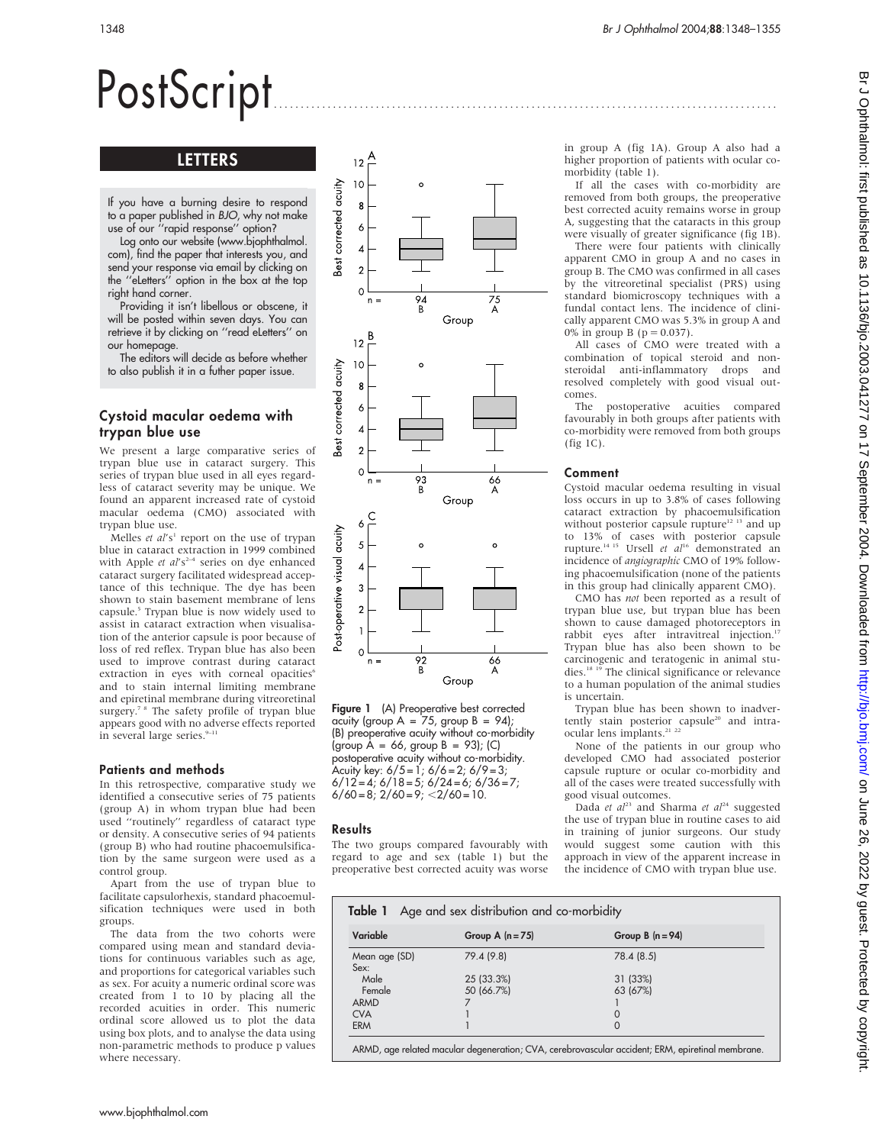# PostScript

# **LETTERS**

If you have a burning desire to respond to a paper published in BJO, why not make use of our ''rapid response'' option?

Log onto our website (www.bjophthalmol. com), find the paper that interests you, and send your response via email by clicking on the ''eLetters'' option in the box at the top right hand corner.

Providing it isn't libellous or obscene, it will be posted within seven days. You can retrieve it by clicking on ''read eLetters'' on our homepage.

The editors will decide as before whether to also publish it in a futher paper issue.

## Cystoid macular oedema with trypan blue use

We present a large comparative series of trypan blue use in cataract surgery. This series of trypan blue used in all eyes regardless of cataract severity may be unique. We found an apparent increased rate of cystoid macular oedema (CMO) associated with trypan blue use.

Melles *et al's*<sup>1</sup> report on the use of trypan blue in cataract extraction in 1999 combined with Apple et  $a^{\prime\prime}s^{2-4}$  series on dye enhanced cataract surgery facilitated widespread acceptance of this technique. The dye has been shown to stain basement membrane of lens capsule.5 Trypan blue is now widely used to assist in cataract extraction when visualisation of the anterior capsule is poor because of loss of red reflex. Trypan blue has also been used to improve contrast during cataract extraction in eyes with corneal opacities<sup>6</sup> and to stain internal limiting membrane and epiretinal membrane during vitreoretinal surgery.<sup>7 8</sup> The safety profile of trypan blue appears good with no adverse effects reported in several large series. $9-11$ 

## Patients and methods

In this retrospective, comparative study we identified a consecutive series of 75 patients (group A) in whom trypan blue had been used ''routinely'' regardless of cataract type or density. A consecutive series of 94 patients (group B) who had routine phacoemulsification by the same surgeon were used as a control group.

Apart from the use of trypan blue to facilitate capsulorhexis, standard phacoemulsification techniques were used in both groups.

The data from the two cohorts were compared using mean and standard deviations for continuous variables such as age, and proportions for categorical variables such as sex. For acuity a numeric ordinal score was created from 1 to 10 by placing all the recorded acuities in order. This numeric ordinal score allowed us to plot the data using box plots, and to analyse the data using non-parametric methods to produce p values where necessary.



Figure 1 (A) Preoperative best corrected acuity (group  $A = 75$ , group  $B = 94$ ); (B) preoperative acuity without co-morbidity (group A = 66, group B = 93); (C) postoperative acuity without co-morbidity. Acuity key: 6/5 = 1; 6/6 = 2; 6/9 = 3;  $6/12 = 4$ ;  $6/18 = 5$ ;  $6/24 = 6$ ;  $6/36 = 7$ ;  $6/60 = 8$ ;  $2/60 = 9$ ;  $<2/60 = 10$ .

## Results

The two groups compared favourably with regard to age and sex (table 1) but the preoperative best corrected acuity was worse

in group A (fig 1A). Group A also had a higher proportion of patients with ocular comorbidity (table 1).

If all the cases with co-morbidity are removed from both groups, the preoperative best corrected acuity remains worse in group A, suggesting that the cataracts in this group were visually of greater significance (fig 1B).

There were four patients with clinically apparent CMO in group A and no cases in group B. The CMO was confirmed in all cases by the vitreoretinal specialist (PRS) using standard biomicroscopy techniques with a fundal contact lens. The incidence of clinically apparent CMO was 5.3% in group A and 0% in group B ( $p = 0.037$ ).

All cases of CMO were treated with a combination of topical steroid and nonsteroidal anti-inflammatory drops and resolved completely with good visual outcomes.

The postoperative acuities compared favourably in both groups after patients with co-morbidity were removed from both groups (fig 1C).

## Comment

Cystoid macular oedema resulting in visual loss occurs in up to 3.8% of cases following cataract extraction by phacoemulsification without posterior capsule rupture $12^{12}$  13 and up to 13% of cases with posterior capsule<br>rupture.<sup>14 15</sup> Ursell *et al*<sup>16</sup> demonstrated an incidence of angiographic CMO of 19% following phacoemulsification (none of the patients in this group had clinically apparent CMO).

CMO has not been reported as a result of trypan blue use, but trypan blue has been shown to cause damaged photoreceptors in rabbit eyes after intravitreal injection.<sup>1</sup> Trypan blue has also been shown to be carcinogenic and teratogenic in animal studies.<sup>18 19</sup> The clinical significance or relevance to a human population of the animal studies is uncertain.

Trypan blue has been shown to inadvertently stain posterior capsule<sup>20</sup> and intraocular lens implants.<sup>21</sup> <sup>22</sup>

None of the patients in our group who developed CMO had associated posterior capsule rupture or ocular co-morbidity and all of the cases were treated successfully with good visual outcomes.

Dada et  $al^{23}$  and Sharma et  $al^{24}$  suggested the use of trypan blue in routine cases to aid in training of junior surgeons. Our study would suggest some caution with this approach in view of the apparent increase in the incidence of CMO with trypan blue use.

| Variable              | Group A $(n=75)$ | Group B $(n=94)$ |
|-----------------------|------------------|------------------|
| Mean age (SD)<br>Sex: | 79.4 (9.8)       | 78.4 (8.5)       |
| Male                  | 25 (33.3%)       | 31 (33%)         |
| Female                | 50 (66.7%)       | 63 (67%)         |
| <b>ARMD</b>           |                  |                  |
| <b>CVA</b>            |                  | O                |
| <b>ERM</b>            |                  |                  |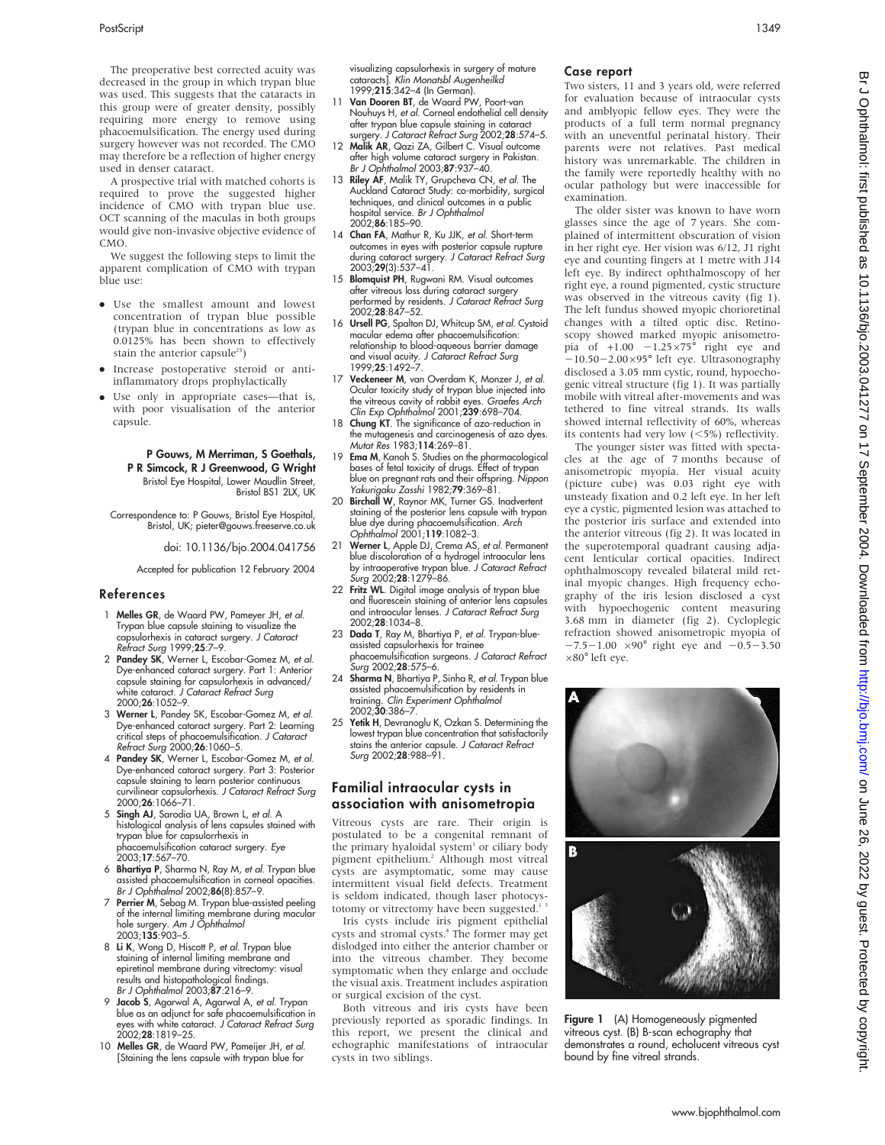The preoperative best corrected acuity was decreased in the group in which trypan blue was used. This suggests that the cataracts in this group were of greater density, possibly requiring more energy to remove using phacoemulsification. The energy used during surgery however was not recorded. The CMO may therefore be a reflection of higher energy used in denser cataract.

A prospective trial with matched cohorts is required to prove the suggested higher incidence of CMO with trypan blue use. OCT scanning of the maculas in both groups would give non-invasive objective evidence of CMO.

We suggest the following steps to limit the apparent complication of CMO with trypan blue use:

- $\bullet$  Use the smallest amount and lowest concentration of trypan blue possible (trypan blue in concentrations as low as 0.0125% has been shown to effectively stain the anterior capsule<sup>25</sup>)
- $\bullet$  Increase postoperative steroid or antiinflammatory drops prophylactically
- Use only in appropriate cases-that is, with poor visualisation of the anterior capsule.

#### P Gouws, M Merriman, S Goethals, P R Simcock, R J Greenwood, G Wright Bristol Eye Hospital, Lower Maudlin Street, Bristol BS1 2LX, UK

Correspondence to: P Gouws, Bristol Eye Hospital, Bristol, UK; pieter@gouws.freeserve.co.uk

doi: 10.1136/bjo.2004.041756

Accepted for publication 12 February 2004

#### References

- 1 Melles GR, de Waard PW, Pameyer JH, et al. Trypan blue capsule staining to visualize the capsulorhexis in cataract surgery. J Cataract Refract Surg 1999;25:7–9.
- 2 Pandey SK, Werner L, Escobar-Gomez M, et al. Dye-enhanced cataract surgery. Part 1: Anterior capsule staining for capsulorhexis in advanced/ white cataract. J Cataract Refract Surg 2000;26:1052–9.
- 3 Werner L, Pandey SK, Escobar-Gomez M, et al. Dye-enhanced cataract surgery. Part 2: Learning critical steps of phacoemulsification. J Cataract Refract Surg 2000;26:1060–5.
- 4 Pandey SK, Werner L, Escobar-Gomez M, et al. Dye-enhanced cataract surgery. Part 3: Posterior capsule staining to learn posterior continuous curvilinear capsulorhexis. J Cataract Refract Surg 2000;26:1066–71.
- 5 Singh AJ, Sarodia UA, Brown L, et al. A histological analysis of lens capsules stained with trypan blue for capsulorrhexis in acoemulsification cataract surgery. Eye 2003;17:567–70.
- 6 Bhartiya P, Sharma N, Ray M, et al. Trypan blue assisted phacoemulsification in corneal opacities. Br J Ophthalmol 2002;86(8):857–9.
- 7 Perrier M, Sebag M. Trypan blue-assisted peeling of the internal limiting membrane during macular hole surgery. Am J Ophthalmol 2003;135:903–5.
- 8 Li K, Wong D, Hiscott P, et al. Trypan blue staining of internal limiting membrane and epiretinal membrane during vitrectomy: visual results and histopathological findings. Br J Ophthalmol 2003;87:216–9.
- 9 Jacob S, Agarwal A, Agarwal A, et al. Trypan blue as an adjunct for safe phacoemulsification in eyes with white cataract. *J Cataract Refract Surg*<br>2002;**28**:1819–25.
- 10 Melles GR, de Waard PW, Pameijer JH, et al. [Staining the lens capsule with trypan blue for

visualizing capsulorhexis in surgery of mature cataracts]. Klin Monatsbl Augenheilkd 1999;215:342–4 (In German).

- Van Dooren BT, de Waard PW, Poort-van Nouhuys H, et al. Corneal endothelial cell density after trypan blue capsule staining in cataract<br>surgery. *J Cataract Refract Surg* 2002;**28**:574–5.
- surgery. J Cataract Refract Surg 2002;28:074-2<br>12 Malik AR, Qazi ZA, Gilbert C. Visual outcome after high volume cataract surgery in Pakistan.<br>*Br J Ophthalmol* 2003;**87**:937–40.
- 13 Riley AF, Malik TY, Grupcheva CN, et al. The Auckland Cataract Study: co-morbidity, surgical techniques, and clinical outcomes in a public hospital service. Br J Ophthalmol 2002;86:185–90.
- 14 Chan FA, Mathur R, Ku JJK, et al. Short-term outcomes in eyes with posterior capsule rupture during cataract surgery. J Cataract Refract Surg 2003;29(3):537–41.
- 15 Blomquist PH, Rugwani RM. Visual outcomes after vitreous loss during cataract surgery<br>performed by residents. *J Cataract Refract Surg* .<br>2002;**28**:847–52.
- 16 Ursell PG, Spalton DJ, Whitcup SM, et al. Cystoid macular edema after phacoemulsification: relationship to blood-aqueous barrier damage and visual acuity. J Cataract Refract Surg 1999;25:1492–7.
- 17 Veckeneer M, van Overdam K, Monzer J, et al. Ocular toxicity study of trypan blue injected into the vitreous cavity of rabbit eyes. Graefes Arch Clin Exp Ophthalmol 2001;239:698–704.
- Chung KT. The significance of azo-reduction in the mutagenesis and carcinogenesis of azo dyes. Mutat Res 1983;114:269–81.
- 19 Ema M, Kanoh S. Studies on the pharmacological bases of fetal toxicity of drugs. Effect of trypan blue on pregnant rats and their offspring. Nippon Yakurigaku Zasshi 1982;79:369–81.
- 20 Birchall W, Raynor MK, Turner GS. Inadvertent staining of the posterior lens capsule with trypan blue dye during phacoemulsification. *Arch*<br>*Ophthalmol* 2001;**119**:1082–3.
- 21 Werner L, Apple DJ, Crema AS, et al. Permanent blue discoloration of a hydrogel intraocular lens by intraoperative trypan blue. *J Cataract Refract*<br>*Surg* 2002;**28**:1279–86.
- 22 Fritz WL. Digital image analysis of trypan blue and fluorescein staining of anterior lens capsules and intraocular lenses. J Cataract Refract Surg 2002;28:1034–8.
- 23 Dada T, Ray M, Bhartiya P, et al. Trypan-blueassisted capsulorhexis for trainee phacoemulsification surgeons. J Cataract Refract Surg 2002;28:575–6.
- 24 Sharma N, Bhartiya P, Sinha R, et al. Trypan blue assisted phacoemulsification by residents in training. *Clin Experiment Ophthalmol*<br>2002;**30**:386–7.
- 25 Yetik H, Devranoglu K, Ozkan S. Determining the lowest trypan blue concentration that satisfactorily stains the anterior capsule. J Cataract Refract Surg 2002;28:988–91.

## Familial intraocular cysts in association with anisometropia

Vitreous cysts are rare. Their origin is postulated to be a congenital remnant of the primary hyaloidal system<sup>1</sup> or ciliary body pigment epithelium.<sup>2</sup> Although most vitreal cysts are asymptomatic, some may cause intermittent visual field defects. Treatment is seldom indicated, though laser photocys-<br>totomy or vitrectomy have been suggested.<sup>13</sup>

Iris cysts include iris pigment epithelial cysts and stromal cysts.<sup>4</sup> The former may get dislodged into either the anterior chamber or into the vitreous chamber. They become symptomatic when they enlarge and occlude the visual axis. Treatment includes aspiration or surgical excision of the cyst.

Both vitreous and iris cysts have been previously reported as sporadic findings. In this report, we present the clinical and echographic manifestations of intraocular cysts in two siblings.

#### Case report

Two sisters, 11 and 3 years old, were referred for evaluation because of intraocular cysts and amblyopic fellow eyes. They were the products of a full term normal pregnancy with an uneventful perinatal history. Their parents were not relatives. Past medical history was unremarkable. The children in the family were reportedly healthy with no ocular pathology but were inaccessible for examination.

The older sister was known to have worn glasses since the age of 7 years. She complained of intermittent obscuration of vision in her right eye. Her vision was 6/12, J1 right eye and counting fingers at 1 metre with J14 left eye. By indirect ophthalmoscopy of her right eye, a round pigmented, cystic structure was observed in the vitreous cavity (fig 1). The left fundus showed myopic chorioretinal changes with a tilted optic disc. Retinoscopy showed marked myopic anisometropia of  $+1.00$   $-1.25 \times 75$ ° right eye and  $-10.50-2.00\times95^{\circ}$  left eye. Ultrasonography disclosed a 3.05 mm cystic, round, hypoechogenic vitreal structure (fig 1). It was partially mobile with vitreal after-movements and was tethered to fine vitreal strands. Its walls showed internal reflectivity of 60%, whereas its contents had very low  $(<5\%)$  reflectivity.

The younger sister was fitted with spectacles at the age of 7 months because of anisometropic myopia. Her visual acuity (picture cube) was 0.03 right eye with unsteady fixation and 0.2 left eye. In her left eye a cystic, pigmented lesion was attached to the posterior iris surface and extended into the anterior vitreous (fig 2). It was located in the superotemporal quadrant causing adjacent lenticular cortical opacities. Indirect ophthalmoscopy revealed bilateral mild retinal myopic changes. High frequency echography of the iris lesion disclosed a cyst with hypoechogenic content measuring 3.68 mm in diameter (fig 2). Cycloplegic refraction showed anisometropic myopia of  $-7.5-1.00 \times 90^{\circ}$  right eye and  $-0.5-3.50$ ×80° left eye.



Figure 1 (A) Homogeneously pigmented vitreous cyst. (B) B-scan echography that demonstrates a round, echolucent vitreous cyst bound by fine vitreal strands.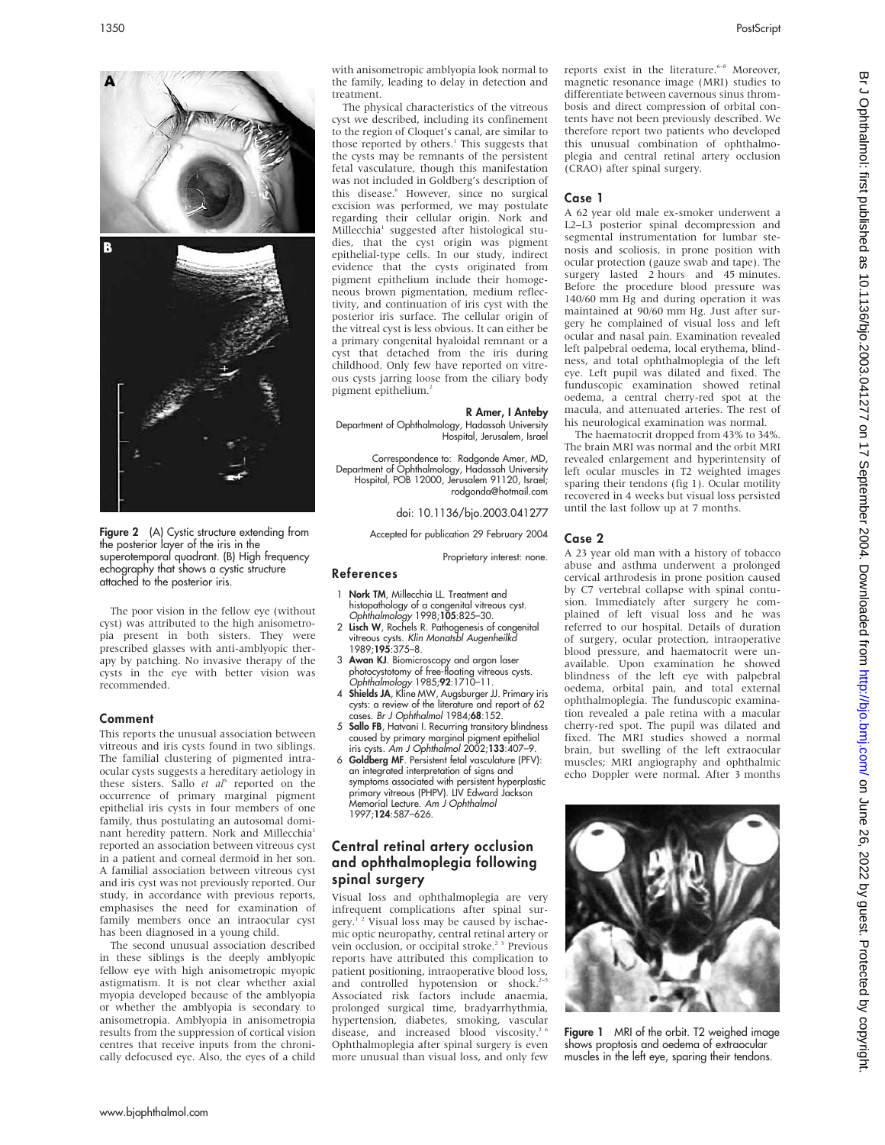

Figure 2 (A) Cystic structure extending from the posterior layer of the iris in the superotemporal quadrant. (B) High frequency echography that shows a cystic structure attached to the posterior iris.

The poor vision in the fellow eye (without cyst) was attributed to the high anisometropia present in both sisters. They were prescribed glasses with anti-amblyopic therapy by patching. No invasive therapy of the cysts in the eye with better vision was recommended.

#### Comment

This reports the unusual association between vitreous and iris cysts found in two siblings. The familial clustering of pigmented intraocular cysts suggests a hereditary aetiology in these sisters. Sallo et  $al<sup>5</sup>$  reported on the occurrence of primary marginal pigment epithelial iris cysts in four members of one family, thus postulating an autosomal dominant heredity pattern. Nork and Millecchia<sup>1</sup> reported an association between vitreous cyst in a patient and corneal dermoid in her son. A familial association between vitreous cyst and iris cyst was not previously reported. Our study, in accordance with previous reports, emphasises the need for examination of family members once an intraocular cyst has been diagnosed in a young child.

The second unusual association described in these siblings is the deeply amblyopic fellow eye with high anisometropic myopic astigmatism. It is not clear whether axial myopia developed because of the amblyopia or whether the amblyopia is secondary to anisometropia. Amblyopia in anisometropia results from the suppression of cortical vision centres that receive inputs from the chronically defocused eye. Also, the eyes of a child

with anisometropic amblyopia look normal to the family, leading to delay in detection and treatment.

The physical characteristics of the vitreous cyst we described, including its confinement to the region of Cloquet's canal, are similar to those reported by others.<sup>1</sup> This suggests that the cysts may be remnants of the persistent fetal vasculature, though this manifestation was not included in Goldberg's description of this disease.<sup>6</sup> However, since no surgical excision was performed, we may postulate regarding their cellular origin. Nork and Millecchia<sup>1</sup> suggested after histological studies, that the cyst origin was pigment epithelial-type cells. In our study, indirect evidence that the cysts originated from pigment epithelium include their homogeneous brown pigmentation, medium reflectivity, and continuation of iris cyst with the posterior iris surface. The cellular origin of the vitreal cyst is less obvious. It can either be a primary congenital hyaloidal remnant or a cyst that detached from the iris during childhood. Only few have reported on vitreous cysts jarring loose from the ciliary body pigment epithelium.<sup>2</sup>

#### R Amer, I Anteby

Department of Ophthalmology, Hadassah University Hospital, Jerusalem, Israel

Correspondence to: Radgonde Amer, MD, Department of Ophthalmology, Hadassah University Hospital, POB 12000, Jerusalem 91120, Israel; rodgonda@hotmail.com

doi: 10.1136/bjo.2003.041277

Accepted for publication 29 February 2004

Proprietary interest: none.

## References

- 1 Nork TM, Millecchia LL. Treatment and histopathology of a congenital vitreous cyst. Ophthalmology 1998;105:825–30.
- 2 Lisch W, Rochels R. Pathogenesis of congenital vitreous cysts. Klin Monatsbl Augenheilkd 1989;195:375–8.
- 3 Awan KJ. Biomicroscopy and argon laser photocystotomy of free-floating vitreous cysts. Ophthalmology 1985;92:1710–11.
- 4 Shields JA, Kline MW, Augsburger JJ. Primary iris cysts: a review of the literature and report of 62 cases. Br J Ophthalmol 1984;68:152.
- 5 Sallo FB, Hatvani I. Recurring transitory blindness caused by primary marginal pigment epithelial iris cysts. Am J Ophthalmol 2002;133:407–9.
- Goldberg MF. Persistent fetal vasculature (PFV): an integrated interpretation of signs and symptoms associated with persistent hyperplastic primary vitreous (PHPV). LIV Edward Jackson Memorial Lecture. Am J Ophthalmol 1997;124:587–626.

## Central retinal artery occlusion and ophthalmoplegia following spinal surgery

Visual loss and ophthalmoplegia are very infrequent complications after spinal surgery.<sup>12</sup> Visual loss may be caused by ischaemic optic neuropathy, central retinal artery or vein occlusion, or occipital stroke.<sup>23</sup> Previous reports have attributed this complication to patient positioning, intraoperative blood loss, and controlled hypotension or shock.<sup>2</sup> Associated risk factors include anaemia, prolonged surgical time, bradyarrhythmia, hypertension, diabetes, smoking, vascular disease, and increased blood viscosity.<sup>2</sup> Ophthalmoplegia after spinal surgery is even more unusual than visual loss, and only few

reports exist in the literature. $6-8$  Moreover, magnetic resonance image (MRI) studies to differentiate between cavernous sinus thrombosis and direct compression of orbital contents have not been previously described. We therefore report two patients who developed this unusual combination of ophthalmoplegia and central retinal artery occlusion (CRAO) after spinal surgery.

## Case 1

A 62 year old male ex-smoker underwent a L2–L3 posterior spinal decompression and segmental instrumentation for lumbar stenosis and scoliosis, in prone position with ocular protection (gauze swab and tape). The surgery lasted 2 hours and 45 minutes. Before the procedure blood pressure was 140/60 mm Hg and during operation it was maintained at 90/60 mm Hg. Just after surgery he complained of visual loss and left ocular and nasal pain. Examination revealed left palpebral oedema, local erythema, blindness, and total ophthalmoplegia of the left eye. Left pupil was dilated and fixed. The funduscopic examination showed retinal oedema, a central cherry-red spot at the macula, and attenuated arteries. The rest of his neurological examination was normal.

The haematocrit dropped from 43% to 34%. The brain MRI was normal and the orbit MRI revealed enlargement and hyperintensity of left ocular muscles in T2 weighted images sparing their tendons (fig 1). Ocular motility recovered in 4 weeks but visual loss persisted until the last follow up at 7 months.

Case 2

A 23 year old man with a history of tobacco abuse and asthma underwent a prolonged cervical arthrodesis in prone position caused by C7 vertebral collapse with spinal contusion. Immediately after surgery he complained of left visual loss and he was referred to our hospital. Details of duration of surgery, ocular protection, intraoperative blood pressure, and haematocrit were unavailable. Upon examination he showed blindness of the left eye with palpebral oedema, orbital pain, and total external ophthalmoplegia. The funduscopic examination revealed a pale retina with a macular cherry-red spot. The pupil was dilated and fixed. The MRI studies showed a normal brain, but swelling of the left extraocular muscles; MRI angiography and ophthalmic echo Doppler were normal. After 3 months



Figure 1 MRI of the orbit. T2 weighed image shows proptosis and oedema of extraocular muscles in the left eye, sparing their tendons.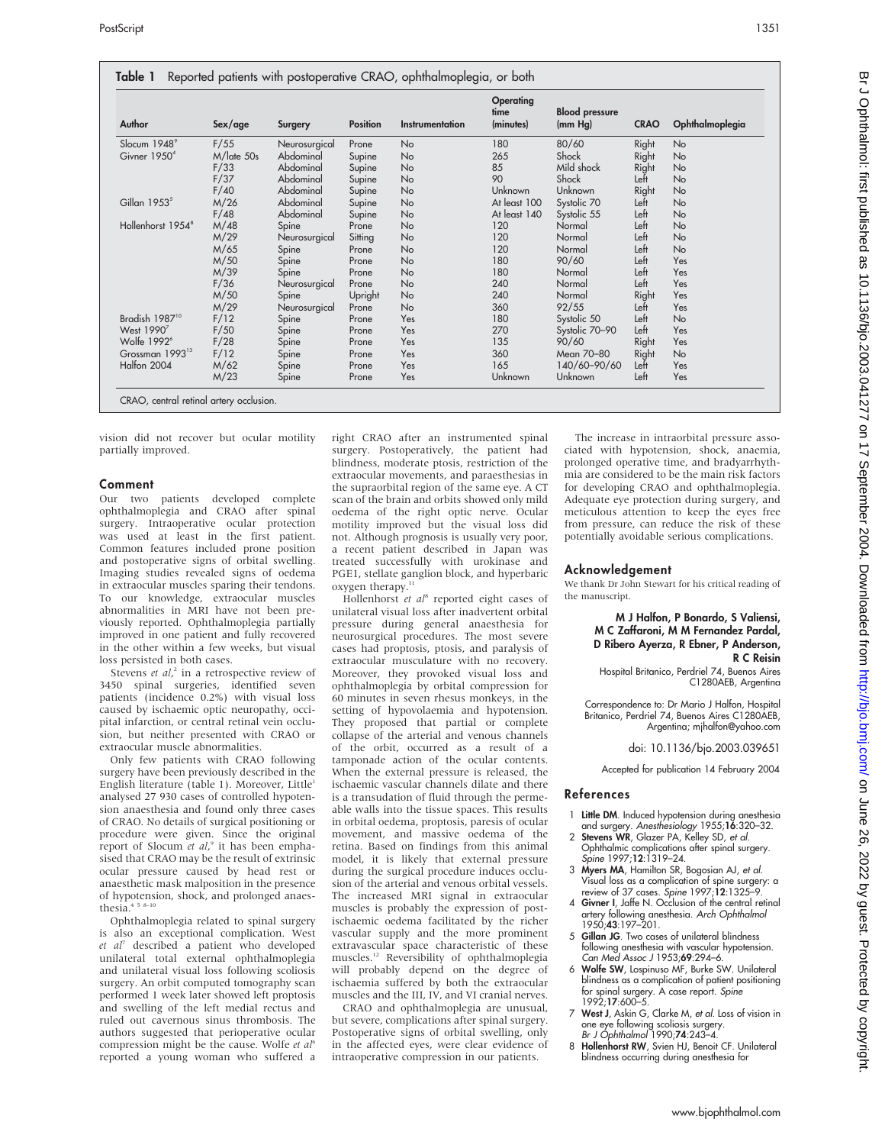| Author                        | Sex/age                                               | Surgery       | Position                                | Instrumentation | Operating<br>time<br>(minutes) | <b>Blood</b> pressure<br>(mm Hg) | <b>CRAO</b> | Ophthalmoplegia |
|-------------------------------|-------------------------------------------------------|---------------|-----------------------------------------|-----------------|--------------------------------|----------------------------------|-------------|-----------------|
| Slocum 1948 <sup>9</sup>      | F/55                                                  | Neurosurgical | Prone                                   | No              | 180                            | 80/60                            | Right       | No              |
| Givner 1950 <sup>4</sup>      | M/late 50s                                            | Abdominal     | Supine                                  | No              | 265                            | Shock                            | Right       | No              |
|                               | F/33                                                  | Abdominal     | Supine                                  | No              | 85                             | Mild shock                       | Right       | <b>No</b>       |
|                               | F/37                                                  | Abdominal     | Supine                                  | No              | 90                             | Shock                            | Left        | <b>No</b>       |
|                               | F/40                                                  | Abdominal     | Supine                                  | No              | Unknown                        | Unknown                          | Right       | <b>No</b>       |
| Gillan 1953 <sup>5</sup>      | M/26                                                  | Abdominal     | Supine                                  | No              | At least 100                   | Systolic 70                      | Left        | <b>No</b>       |
|                               | F/48                                                  | Abdominal     | Supine                                  | No              | At least 140                   | Systolic 55                      | Left        | <b>No</b>       |
| Hollenhorst 1954 <sup>8</sup> | M/48                                                  | Spine         | Prone                                   | No              | 120                            | Normal                           | Left        | <b>No</b>       |
|                               | M/29                                                  | Neurosurgical | Sitting                                 | No              | 120                            | Normal                           | Left        | <b>No</b>       |
|                               | M/65                                                  | Spine         | Prone                                   | No              | 120                            | Normal                           | Left        | <b>No</b>       |
|                               | M/50                                                  | Spine         | Prone                                   | No              | 180                            | 90/60                            | Left        | Yes             |
|                               | M/39                                                  | Spine         | Prone                                   | No              | 180                            | Normal                           | Left        | Yes             |
|                               | F/36<br>No<br>240<br>Normal<br>Neurosurgical<br>Prone |               | Left                                    | Yes             |                                |                                  |             |                 |
|                               | M/50                                                  | Spine         | Upright<br>Right<br>No<br>240<br>Normal | Yes             |                                |                                  |             |                 |
|                               | M/29                                                  | Neurosurgical | Prone                                   | No              | 360                            | 92/55                            | Left        | Yes             |
| Bradish 1987 <sup>10</sup>    | F/12                                                  | Spine         | Prone                                   | Yes             | 180                            | Systolic 50                      | Left        | No              |
| West $1990^7$                 | F/50                                                  | Spine         | Prone                                   | Yes             | 270                            | Systolic 70-90                   | Left        | Yes             |
| Wolfe 1992 <sup>6</sup>       | F/28                                                  | Spine         | Prone                                   | Yes             | 135                            | 90/60                            | Right       | Yes             |
| Grossman 1993 <sup>13</sup>   | F/12                                                  | Spine         | Prone                                   | Yes             | 360                            | Mean 70-80                       | Right       | <b>No</b>       |
| Halfon 2004                   | M/62                                                  | Spine         | Prone                                   | Yes             | 165                            | 140/60-90/60                     | Left        | Yes             |
|                               | M/23                                                  | Spine         | Prone                                   | Yes             | Unknown                        | Unknown                          | Left        | Yes             |

vision did not recover but ocular motility partially improved.

#### Comment

Our two patients developed complete ophthalmoplegia and CRAO after spinal surgery. Intraoperative ocular protection was used at least in the first patient. Common features included prone position and postoperative signs of orbital swelling. Imaging studies revealed signs of oedema in extraocular muscles sparing their tendons. To our knowledge, extraocular muscles abnormalities in MRI have not been previously reported. Ophthalmoplegia partially improved in one patient and fully recovered in the other within a few weeks, but visual loss persisted in both cases.

Stevens et al,<sup>2</sup> in a retrospective review of 3450 spinal surgeries, identified seven patients (incidence 0.2%) with visual loss caused by ischaemic optic neuropathy, occipital infarction, or central retinal vein occlusion, but neither presented with CRAO or extraocular muscle abnormalities.

Only few patients with CRAO following surgery have been previously described in the English literature (table 1). Moreover, Little<sup>1</sup> analysed 27 930 cases of controlled hypotension anaesthesia and found only three cases of CRAO. No details of surgical positioning or procedure were given. Since the original report of Slocum et al,<sup>9</sup> it has been emphasised that CRAO may be the result of extrinsic ocular pressure caused by head rest or anaesthetic mask malposition in the presence of hypotension, shock, and prolonged anaesthesia. $4<sup>5</sup>$ 

Ophthalmoplegia related to spinal surgery is also an exceptional complication. West  $et$   $al^7$  described a patient who developed unilateral total external ophthalmoplegia and unilateral visual loss following scoliosis surgery. An orbit computed tomography scan performed 1 week later showed left proptosis and swelling of the left medial rectus and ruled out cavernous sinus thrombosis. The authors suggested that perioperative ocular compression might be the cause. Wolfe et  $al<sup>6</sup>$ reported a young woman who suffered a right CRAO after an instrumented spinal surgery. Postoperatively, the patient had blindness, moderate ptosis, restriction of the extraocular movements, and paraesthesias in the supraorbital region of the same eye. A CT scan of the brain and orbits showed only mild oedema of the right optic nerve. Ocular motility improved but the visual loss did not. Although prognosis is usually very poor, a recent patient described in Japan was treated successfully with urokinase and PGE1, stellate ganglion block, and hyperbaric oxygen therapy.<sup>1</sup>

Hollenhorst et  $al^8$  reported eight cases of unilateral visual loss after inadvertent orbital pressure during general anaesthesia for neurosurgical procedures. The most severe cases had proptosis, ptosis, and paralysis of extraocular musculature with no recovery. Moreover, they provoked visual loss and ophthalmoplegia by orbital compression for 60 minutes in seven rhesus monkeys, in the setting of hypovolaemia and hypotension. They proposed that partial or complete collapse of the arterial and venous channels of the orbit, occurred as a result of a tamponade action of the ocular contents. When the external pressure is released, the ischaemic vascular channels dilate and there is a transudation of fluid through the permeable walls into the tissue spaces. This results in orbital oedema, proptosis, paresis of ocular movement, and massive oedema of the retina. Based on findings from this animal model, it is likely that external pressure during the surgical procedure induces occlusion of the arterial and venous orbital vessels. The increased MRI signal in extraocular muscles is probably the expression of postischaemic oedema facilitated by the richer vascular supply and the more prominent extravascular space characteristic of these muscles.12 Reversibility of ophthalmoplegia will probably depend on the degree of ischaemia suffered by both the extraocular muscles and the III, IV, and VI cranial nerves.

CRAO and ophthalmoplegia are unusual, but severe, complications after spinal surgery. Postoperative signs of orbital swelling, only in the affected eyes, were clear evidence of intraoperative compression in our patients.

The increase in intraorbital pressure associated with hypotension, shock, anaemia, prolonged operative time, and bradyarrhythmia are considered to be the main risk factors for developing CRAO and ophthalmoplegia. Adequate eye protection during surgery, and meticulous attention to keep the eyes free from pressure, can reduce the risk of these potentially avoidable serious complications.

#### Acknowledgement

We thank Dr John Stewart for his critical reading of the manuscript.

#### M J Halfon, P Bonardo, S Valiensi, M C Zaffaroni, M M Fernandez Pardal, D Ribero Ayerza, R Ebner, P Anderson, R C Reisin

Hospital Britanico, Perdriel 74, Buenos Aires C1280AEB, Argentina

Correspondence to: Dr Mario J Halfon, Hospital Britanico, Perdriel 74, Buenos Aires C1280AEB, Argentina; mjhalfon@yahoo.com

doi: 10.1136/bjo.2003.039651

Accepted for publication 14 February 2004

#### References

- 1 Little DM. Induced hypotension during anesthesia and surgery. Anesthesiology 1955;**16**:320–32.<br>2 **Stevens WR**, Glazer PA, Kelley SD, *et al.*
- Ophthalmic complications after spinal surgery. Spine 1997;12:1319–24.
- 3 Myers MA, Hamilton SR, Bogosian AJ, et al. Visual loss as a complication of spine surgery: a review of 37 cases. Spine 1997;12:1325–9.
- 4 Givner I, Jaffe N. Occlusion of the central retinal artery following anesthesia. Arch Ophthalmol<br>1950;**43**:197–201.
- 5 Gillan JG. Two cases of unilateral blindness tollowing anesthesia with vascular hypotension.<br>*Can Med Assoc J* 1953;**69**:294–6.
- 6 Wolfe SW, Lospinuso MF, Burke SW. Unilateral blindness as a complication of patient positioning for spinal surgery. A case report. Spine 1992;17:600–5.
- 7 West J, Askin G, Clarke M, et al. Loss of vision in one eye following scoliosis surgery.<br>*Br J Ophthalmol* 1990;**74**:243–4.
- 8 Hollenhorst RW, Svien HJ, Benoit CF. Unilateral blindness occurring during anesthesia for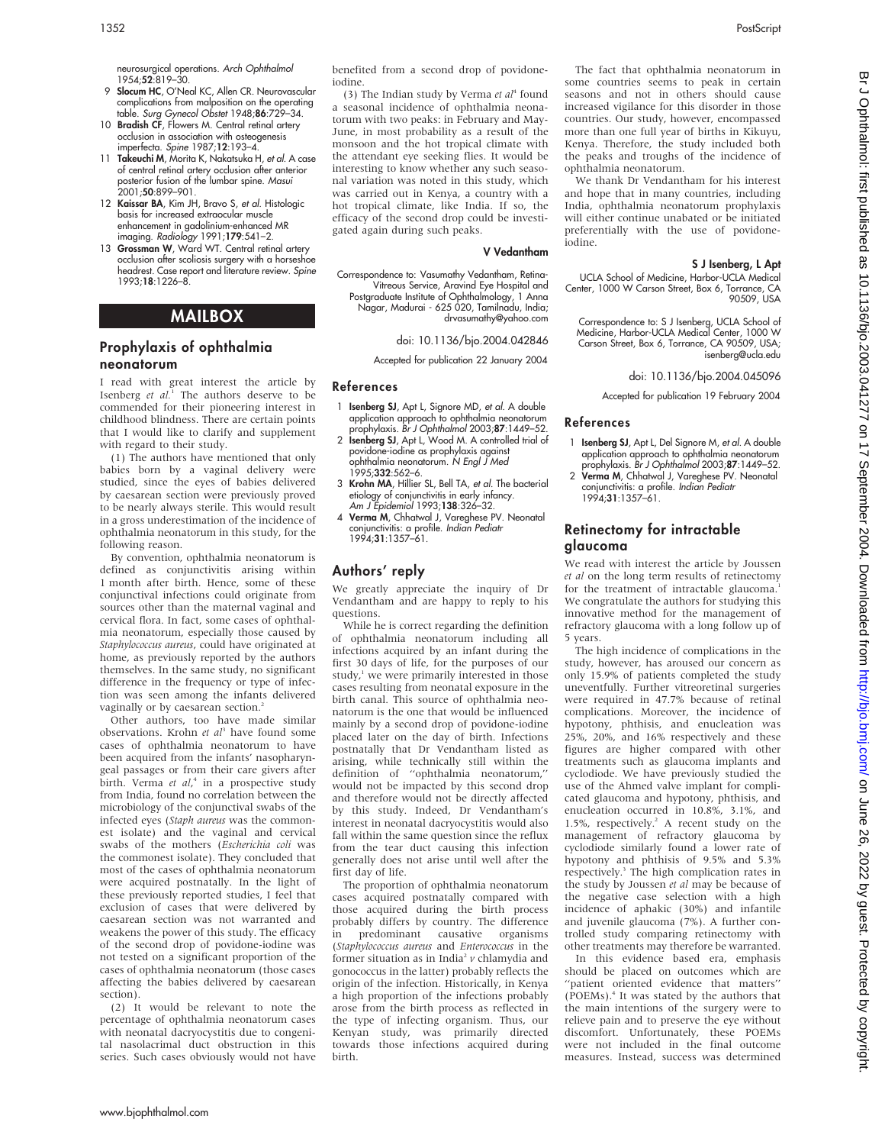neurosurgical operations. Arch Ophthalmol 1954;52:819-30.

- 9 Slocum HC, O'Neal KC, Allen CR. Neurovascular complications from malposition on the operating table. Surg Gynecol Obstet 1948;86:729–34.
- 10 Bradish CF, Flowers M. Central retinal artery occlusion in association with osteogenesis imperfecta. Spine 1987;12:193–4.
- 11 Takeuchi M, Morita K, Nakatsuka H, et al. A case of central retinal artery occlusion after anterior posterior fusion of the lumbar spine. Masui 2001;50:899–901.
- 12 Kaissar BA, Kim JH, Bravo S, et al. Histologic basis for increased extraocular muscle enhancement in gadolinium-enhanced MR
- imaging. Radiology 1991;179:541–2. 13 Grossman W, Ward WT. Central retinal artery occlusion after scoliosis surgery with a horseshoe headrest. Case report and literature review. Spine 1993;18:1226–8.

# MAILBOX

## Prophylaxis of ophthalmia neonatorum

I read with great interest the article by Isenberg et  $al<sup>1</sup>$ . The authors deserve to be commended for their pioneering interest in childhood blindness. There are certain points that I would like to clarify and supplement with regard to their study.

(1) The authors have mentioned that only babies born by a vaginal delivery were studied, since the eyes of babies delivered by caesarean section were previously proved to be nearly always sterile. This would result in a gross underestimation of the incidence of ophthalmia neonatorum in this study, for the following reason.

By convention, ophthalmia neonatorum is defined as conjunctivitis arising within 1 month after birth. Hence, some of these conjunctival infections could originate from sources other than the maternal vaginal and cervical flora. In fact, some cases of ophthalmia neonatorum, especially those caused by Staphylococcus aureus, could have originated at home, as previously reported by the authors themselves. In the same study, no significant difference in the frequency or type of infection was seen among the infants delivered vaginally or by caesarean section.<sup>2</sup>

Other authors, too have made similar observations. Krohn et  $al<sup>3</sup>$  have found some cases of ophthalmia neonatorum to have been acquired from the infants' nasopharyngeal passages or from their care givers after birth. Verma et al,<sup>4</sup> in a prospective study from India, found no correlation between the microbiology of the conjunctival swabs of the infected eyes (Staph aureus was the commonest isolate) and the vaginal and cervical swabs of the mothers (Escherichia coli was the commonest isolate). They concluded that most of the cases of ophthalmia neonatorum were acquired postnatally. In the light of these previously reported studies, I feel that exclusion of cases that were delivered by caesarean section was not warranted and weakens the power of this study. The efficacy of the second drop of povidone-iodine was not tested on a significant proportion of the cases of ophthalmia neonatorum (those cases affecting the babies delivered by caesarean section).

(2) It would be relevant to note the percentage of ophthalmia neonatorum cases with neonatal dacryocystitis due to congenital nasolacrimal duct obstruction in this series. Such cases obviously would not have benefited from a second drop of povidoneiodine.

(3) The Indian study by Verma et  $al^4$  found a seasonal incidence of ophthalmia neonatorum with two peaks: in February and May-June, in most probability as a result of the monsoon and the hot tropical climate with the attendant eye seeking flies. It would be interesting to know whether any such seasonal variation was noted in this study, which was carried out in Kenya, a country with a hot tropical climate, like India. If so, the efficacy of the second drop could be investigated again during such peaks.

#### V Vedantham

Correspondence to: Vasumathy Vedantham, Retina-Vitreous Service, Aravind Eye Hospital and Postgraduate Institute of Ophthalmology, 1 Anna Nagar, Madurai - 625 020, Tamilnadu, India; drvasumathy@yahoo.com

doi: 10.1136/bjo.2004.042846

Accepted for publication 22 January 2004

## References

- 1 Isenberg SJ, Apt L, Signore MD, et al. A double application approach to ophthalmia neonatorum<br>2 prophylaxis. *Br J Ophthalmol* 2003;**87**:1449–52.<br>2 **Isenberg SJ**, Apt L, Wood M. A controlled trial of
- povidone-iodine as prophylaxis against ophthalmia neonatorum. N Engl J Med 1995;332:562–6.
- 3 Krohn MA, Hillier SL, Bell TA, et al. The bacterial etiology of conjunctivitis in early infancy. Am J Epidemiol 1993;138:326–32.
- 4 Verma M, Chhatwal J, Vareghese PV. Neonatal conjunctivitis: a profile. *Indian Pediatr*<br>1994;**31**:1357–61.

## Authors' reply

We greatly appreciate the inquiry of Dr Vendantham and are happy to reply to his questions.

While he is correct regarding the definition of ophthalmia neonatorum including all infections acquired by an infant during the first 30 days of life, for the purposes of our study, $1$  we were primarily interested in those cases resulting from neonatal exposure in the birth canal. This source of ophthalmia neonatorum is the one that would be influenced mainly by a second drop of povidone-iodine placed later on the day of birth. Infections postnatally that Dr Vendantham listed as arising, while technically still within the definition of ''ophthalmia neonatorum,'' would not be impacted by this second drop and therefore would not be directly affected by this study. Indeed, Dr Vendantham's interest in neonatal dacryocystitis would also fall within the same question since the reflux from the tear duct causing this infection generally does not arise until well after the first day of life.

The proportion of ophthalmia neonatorum cases acquired postnatally compared with those acquired during the birth process probably differs by country. The difference predominant causative organisms (Staphylococcus aureus and Enterococcus in the former situation as in India<sup>2</sup>  $\nu$  chlamydia and gonococcus in the latter) probably reflects the origin of the infection. Historically, in Kenya a high proportion of the infections probably arose from the birth process as reflected in the type of infecting organism. Thus, our Kenyan study, was primarily directed towards those infections acquired during birth.

The fact that ophthalmia neonatorum in some countries seems to peak in certain seasons and not in others should cause increased vigilance for this disorder in those countries. Our study, however, encompassed more than one full year of births in Kikuyu, Kenya. Therefore, the study included both the peaks and troughs of the incidence of ophthalmia neonatorum.

We thank Dr Vendantham for his interest and hope that in many countries, including India, ophthalmia neonatorum prophylaxis will either continue unabated or be initiated preferentially with the use of povidoneiodine.

#### S J Isenberg, L Apt

UCLA School of Medicine, Harbor-UCLA Medical Center, 1000 W Carson Street, Box 6, Torrance, CA 90509, USA

Correspondence to: S J Isenberg, UCLA School of Medicine, Harbor-UCLA Medical Center, 1000 W Carson Street, Box 6, Torrance, CA 90509, USA; isenberg@ucla.edu

doi: 10.1136/bjo.2004.045096

Accepted for publication 19 February 2004

#### References

- 1 **Isenberg SJ**, Apt L, Del Signore M, et al. A double application approach to ophthalmia neonatorum prophylaxis. Br J Ophthalmol 2003;87:1449–52.
- 2 Verma M, Chhatwal J, Vareghese PV. Neonatal conjunctivitis: a profile. Indian Pediatr 1994;31:1357–61.

## Retinectomy for intractable glaucoma

We read with interest the article by Joussen et al on the long term results of retinectomy for the treatment of intractable glaucoma.<sup>1</sup> We congratulate the authors for studying this innovative method for the management of refractory glaucoma with a long follow up of 5 years.

The high incidence of complications in the study, however, has aroused our concern as only 15.9% of patients completed the study uneventfully. Further vitreoretinal surgeries were required in 47.7% because of retinal complications. Moreover, the incidence of hypotony, phthisis, and enucleation was 25%, 20%, and 16% respectively and these figures are higher compared with other treatments such as glaucoma implants and cyclodiode. We have previously studied the use of the Ahmed valve implant for complicated glaucoma and hypotony, phthisis, and enucleation occurred in 10.8%, 3.1%, and 1.5%, respectively. $^{2}$  A recent study on the management of refractory glaucoma by cyclodiode similarly found a lower rate of hypotony and phthisis of 9.5% and 5.3% respectively.<sup>3</sup> The high complication rates in the study by Joussen et al may be because of the negative case selection with a high incidence of aphakic (30%) and infantile and juvenile glaucoma (7%). A further controlled study comparing retinectomy with other treatments may therefore be warranted.

In this evidence based era, emphasis should be placed on outcomes which are ''patient oriented evidence that matters'' (POEMs).4 It was stated by the authors that the main intentions of the surgery were to relieve pain and to preserve the eye without discomfort. Unfortunately, these POEMs were not included in the final outcome measures. Instead, success was determined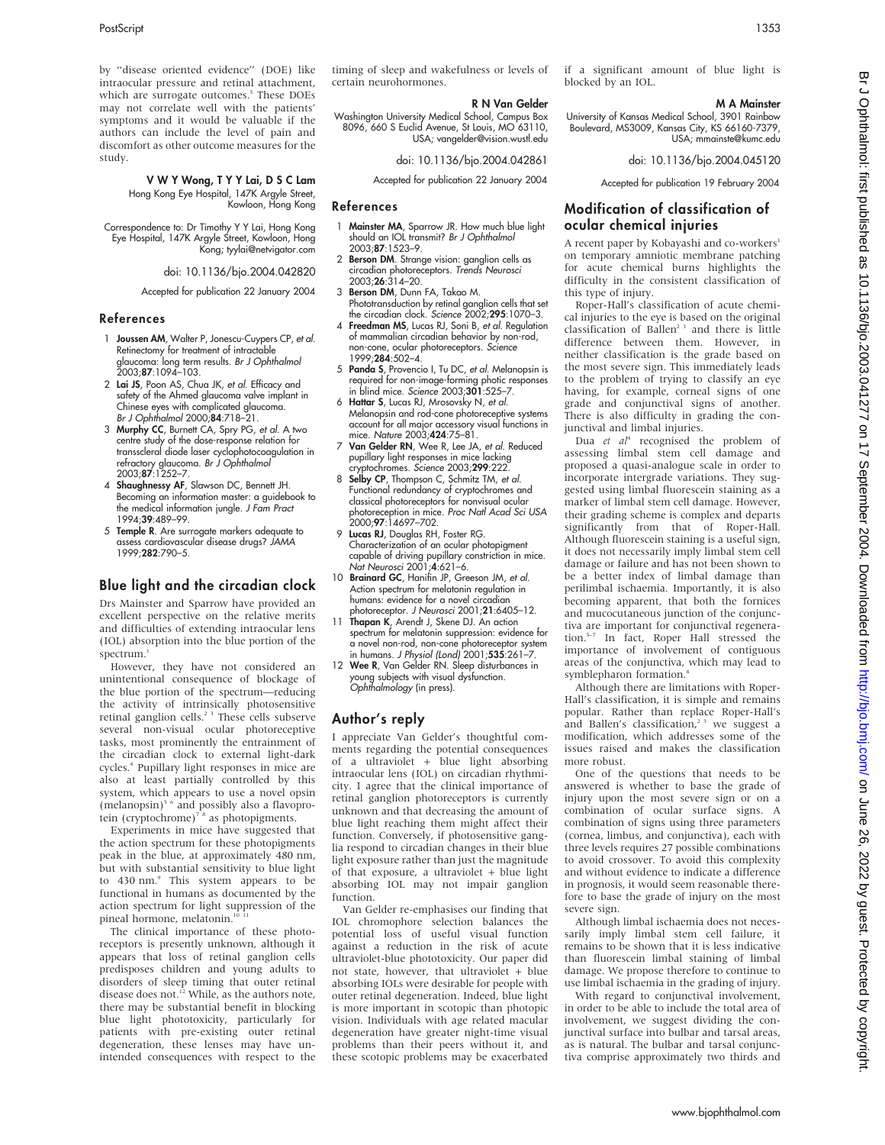by ''disease oriented evidence'' (DOE) like intraocular pressure and retinal attachment, which are surrogate outcomes.<sup>5</sup> These DOEs may not correlate well with the patients' symptoms and it would be valuable if the authors can include the level of pain and discomfort as other outcome measures for the study.

> V W Y Wong, T Y Y Lai, D S C Lam Hong Kong Eye Hospital, 147K Argyle Street, Kowloon, Hong Kong

Correspondence to: Dr Timothy Y Y Lai, Hong Kong Eye Hospital, 147K Argyle Street, Kowloon, Hong Kong; tyylai@netvigator.com

doi: 10.1136/bjo.2004.042820

Accepted for publication 22 January 2004

## References

- 1 Joussen AM, Walter P, Jonescu-Cuypers CP, et al. Retinectomy for treatment of intractable glaucoma: long term results. Br J Ophthalmol 2003;87:1094–103.
- 2 Lai JS, Poon AS, Chua JK, et al. Efficacy and safety of the Ahmed glaucoma valve implant in Chinese eyes with complicated glaucoma. Br J Ophthalmol 2000;84:718–21.
- 3 Murphy CC, Burnett CA, Spry PG, et al. A two centre study of the dose-response relation for transscleral diode laser cyclophotocoagulation in<br>refractory glaucoma. Br J Ophthalmol 2003;87:1252–7.
- 4 Shaughnessy AF, Slawson DC, Bennett JH. Becoming an information master: a guidebook to the medical information jungle. J Fam Pract 1994;39:489–99.
- 5 Temple R. Are surrogate markers adequate to assess cardiovascular disease drugs? JAMA 1999;282:790–5.

## Blue light and the circadian clock

Drs Mainster and Sparrow have provided an excellent perspective on the relative merits and difficulties of extending intraocular lens (IOL) absorption into the blue portion of the spectrum.<sup>1</sup>

However, they have not considered an unintentional consequence of blockage of the blue portion of the spectrum—reducing the activity of intrinsically photosensitive retinal ganglion cells.<sup>2 3</sup> These cells subserve several non-visual ocular photoreceptive tasks, most prominently the entrainment of the circadian clock to external light-dark cycles.4 Pupillary light responses in mice are also at least partially controlled by this system, which appears to use a novel opsin (melanopsin)5 6 and possibly also a flavoprotein (cryptochrome)<sup>78</sup> as photopigments.

Experiments in mice have suggested that the action spectrum for these photopigments peak in the blue, at approximately 480 nm, but with substantial sensitivity to blue light to 430 nm.<sup>9</sup> This system appears to be functional in humans as documented by the action spectrum for light suppression of the pineal hormone, melatonin.<sup>10</sup>

The clinical importance of these photoreceptors is presently unknown, although it appears that loss of retinal ganglion cells predisposes children and young adults to disorders of sleep timing that outer retinal disease does not.<sup>12</sup> While, as the authors note, there may be substantial benefit in blocking blue light phototoxicity, particularly for patients with pre-existing outer retinal degeneration, these lenses may have unintended consequences with respect to the

timing of sleep and wakefulness or levels of certain neurohormones.

#### R N Van Gelder

Washington University Medical School, Campus Box 8096, 660 S Euclid Avenue, St Louis, MO 63110, USA; vangelder@vision.wustl.edu

doi: 10.1136/bjo.2004.042861

Accepted for publication 22 January 2004 Accepted for publication 19 February 2004

#### References

- 1 Mainster MA, Sparrow JR. How much blue light should an IOL transmit? Br J Ophthalmol 2003;87:1523–9.
- Berson DM. Strange vision: ganglion cells as circadian photoreceptors. Trends Neurosci 2003;26:314–20.
- 3 Berson DM, Dunn FA, Takao M. Phototransduction by retinal ganglion cells that set<br>the circadian clock. *Science* 2002;**295**:1070–3.
- 4 Freedman MS, Lucas RJ, Soni B, et al. Regulation of mammalian circadian behavior by non-rod, non-cone, ocular photoreceptors. Science 1999;284:502–4.
- 5 Panda S, Provencio I, Tu DC, et al. Melanopsin is required for non-image-forming photic responses<br>in blind mice. *Science* 2003;**301**:525–7.
- 6 Hattar S, Lucas RJ, Mrosovsky N, et al. Melanopsin and rod-cone photoreceptive systems account for all major accessory visual functions in mice. Nature 2003;424:75-81
- 7 Van Gelder RN, Wee R, Lee JA, et al. Reduced pupillary light responses in mice lacking cryptochromes. Science 2003;299:222.
- 8 Selby CP, Thompson C, Schmitz TM, et al. Functional redundancy of cryptochromes and classical photoreceptors for nonvisual ocular photoreception in mice. Proc Natl Acad Sci USA 2000;97:14697–702.
- 9 Lucas RJ, Douglas RH, Foster RG. Characterization of an ocular photopigment capable of driving pupillary constriction in mice. Nat Neurosci 2001;4:621–6.
- 10 **Brainard GC**, Hanifin JP, Greeson JM, et al. Action spectrum for melatonin regulation in humans: evidence for a novel circadian photoreceptor. J Neurosci 2001;21:6405–12.
- 11 Thapan K, Arendt J, Skene DJ. An action spectrum for melatonin suppression: evidence for a novel non-rod, non-cone photoreceptor system in humans. J Physiol (Lond) 2001;535:261–7.
- 12 Wee R, Van Gelder RN. Sleep disturbances in young subjects with visual dysfunction. Ophthalmology (in press).

## Author's reply

I appreciate Van Gelder's thoughtful comments regarding the potential consequences of a ultraviolet + blue light absorbing intraocular lens (IOL) on circadian rhythmicity. I agree that the clinical importance of retinal ganglion photoreceptors is currently unknown and that decreasing the amount of blue light reaching them might affect their function. Conversely, if photosensitive ganglia respond to circadian changes in their blue light exposure rather than just the magnitude of that exposure, a ultraviolet + blue light absorbing IOL may not impair ganglion function.

Van Gelder re-emphasises our finding that IOL chromophore selection balances the potential loss of useful visual function against a reduction in the risk of acute ultraviolet-blue phototoxicity. Our paper did not state, however, that ultraviolet + blue absorbing IOLs were desirable for people with outer retinal degeneration. Indeed, blue light is more important in scotopic than photopic vision. Individuals with age related macular degeneration have greater night-time visual problems than their peers without it, and these scotopic problems may be exacerbated

if a significant amount of blue light is blocked by an IOL.

#### M A Mainster

University of Kansas Medical School, 3901 Rainbow Boulevard, MS3009, Kansas City, KS 66160-7379, USA; mmainste@kumc.edu

doi: 10.1136/bjo.2004.045120

## Modification of classification of ocular chemical injuries

A recent paper by Kobayashi and co-workers<sup>1</sup> on temporary amniotic membrane patching for acute chemical burns highlights the difficulty in the consistent classification of this type of injury.

Roper-Hall's classification of acute chemical injuries to the eye is based on the original classification of Ballen<sup>23</sup> and there is little difference between them. However, in neither classification is the grade based on the most severe sign. This immediately leads to the problem of trying to classify an eye having, for example, corneal signs of one grade and conjunctival signs of another. There is also difficulty in grading the conjunctival and limbal injuries.

Dua et al<sup>4</sup> recognised the problem of assessing limbal stem cell damage and proposed a quasi-analogue scale in order to incorporate intergrade variations. They suggested using limbal fluorescein staining as a marker of limbal stem cell damage. However, their grading scheme is complex and departs significantly from that of Roper-Hall. Although fluorescein staining is a useful sign, it does not necessarily imply limbal stem cell damage or failure and has not been shown to be a better index of limbal damage than perilimbal ischaemia. Importantly, it is also becoming apparent, that both the fornices and mucocutaneous junction of the conjunctiva are important for conjunctival regeneration.5–7 In fact, Roper Hall stressed the importance of involvement of contiguous areas of the conjunctiva, which may lead to symblepharon formation.4

Although there are limitations with Roper-Hall's classification, it is simple and remains popular. Rather than replace Roper-Hall's and Ballen's classification,<sup>23</sup> we suggest a modification, which addresses some of the issues raised and makes the classification more robust.

One of the questions that needs to be answered is whether to base the grade of injury upon the most severe sign or on a combination of ocular surface signs. A combination of signs using three parameters (cornea, limbus, and conjunctiva), each with three levels requires 27 possible combinations to avoid crossover. To avoid this complexity and without evidence to indicate a difference in prognosis, it would seem reasonable therefore to base the grade of injury on the most severe sign.

Although limbal ischaemia does not necessarily imply limbal stem cell failure, it remains to be shown that it is less indicative than fluorescein limbal staining of limbal damage. We propose therefore to continue to use limbal ischaemia in the grading of injury.

With regard to conjunctival involvement, in order to be able to include the total area of involvement, we suggest dividing the conjunctival surface into bulbar and tarsal areas, as is natural. The bulbar and tarsal conjunctiva comprise approximately two thirds and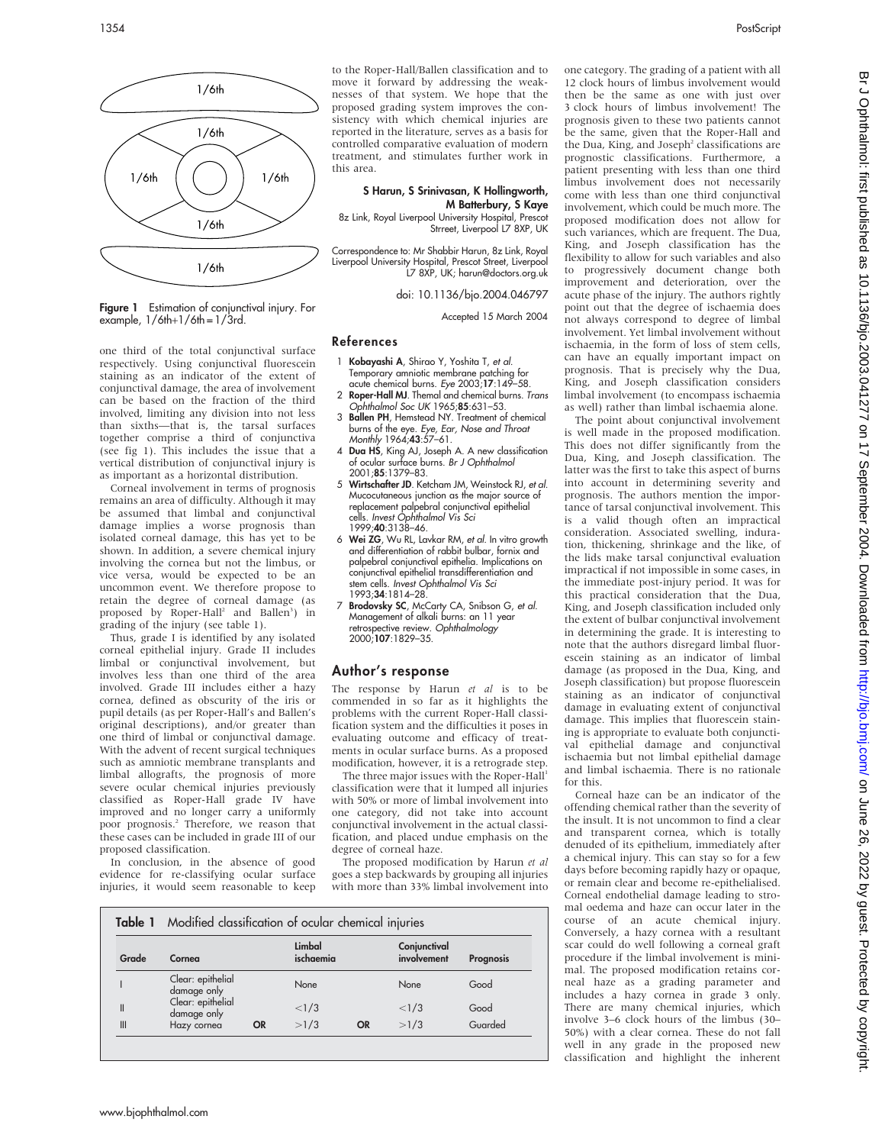

Figure 1 Estimation of conjunctival injury. For example,  $1/6th+1/6th = 1/3rd$ .

one third of the total conjunctival surface respectively. Using conjunctival fluorescein staining as an indicator of the extent of conjunctival damage, the area of involvement can be based on the fraction of the third involved, limiting any division into not less than sixths—that is, the tarsal surfaces together comprise a third of conjunctiva (see fig 1). This includes the issue that a vertical distribution of conjunctival injury is as important as a horizontal distribution.

Corneal involvement in terms of prognosis remains an area of difficulty. Although it may be assumed that limbal and conjunctival damage implies a worse prognosis than isolated corneal damage, this has yet to be shown. In addition, a severe chemical injury involving the cornea but not the limbus, or vice versa, would be expected to be an uncommon event. We therefore propose to retain the degree of corneal damage (as proposed by Roper-Hall<sup>2</sup> and Ballen<sup>3</sup>) in grading of the injury (see table 1).

Thus, grade I is identified by any isolated corneal epithelial injury. Grade II includes limbal or conjunctival involvement, but involves less than one third of the area involved. Grade III includes either a hazy cornea, defined as obscurity of the iris or pupil details (as per Roper-Hall's and Ballen's original descriptions), and/or greater than one third of limbal or conjunctival damage. With the advent of recent surgical techniques such as amniotic membrane transplants and limbal allografts, the prognosis of more severe ocular chemical injuries previously classified as Roper-Hall grade IV have improved and no longer carry a uniformly poor prognosis.<sup>2</sup> Therefore, we reason that these cases can be included in grade III of our proposed classification.

In conclusion, in the absence of good evidence for re-classifying ocular surface injuries, it would seem reasonable to keep

to the Roper-Hall/Ballen classification and to move it forward by addressing the weaknesses of that system. We hope that the proposed grading system improves the consistency with which chemical injuries are reported in the literature, serves as a basis for controlled comparative evaluation of modern treatment, and stimulates further work in this area.

#### S Harun, S Srinivasan, K Hollingworth, M Batterbury, S Kaye

8z Link, Royal Liverpool University Hospital, Prescot Strreet, Liverpool L7 8XP, UK

Correspondence to: Mr Shabbir Harun, 8z Link, Royal Liverpool University Hospital, Prescot Street, Liverpool L7 8XP, UK; harun@doctors.org.uk

doi: 10.1136/bjo.2004.046797

Accepted 15 March 2004

#### References

- 1 Kobayashi A, Shirao Y, Yoshita T, et al. Temporary amniotic membrane patching for acute chemical burns. Eye 2003;17:149–58.
- 2 Roper-Hall MJ. Themal and chemical burns. Trans Ophthalmol Soc UK 1965;85:631–53.
- 3 Ballen PH, Hemstead NY. Treatment of chemical burns of the eye. *Eye, Ear, Nose and Throat*<br>Monthly 1964;**43**:57–61.
- 4 Dua HS, King AJ, Joseph A. A new classification of ocular surface burns. Br J Ophthalmol 2001;85:1379–83.
- Wirtschafter JD. Ketcham JM, Weinstock RJ, et al. Mucocutaneous junction as the major source of replacement palpebral conjunctival epithelial<br>cells. *Invest Ophthalmol Vis Sci* 1999;40:3138–46.
- 6 Wei ZG, Wu RL, Lavkar RM, et al. In vitro growth and differentiation of rabbit bulbar, fornix and palpebral conjunctival epithelia. Implications on conjunctival epithelial transdifferentiation and stem cells. Invest Ophthalmol Vis Sci 1993;34:1814–28.
- 7 Brodovsky SC, McCarty CA, Snibson G, et al. Management of alkali burns: an 11 year retrospective review. Ophthalmology 2000;107:1829-35.

## Author's response

The response by Harun et al is to be commended in so far as it highlights the problems with the current Roper-Hall classification system and the difficulties it poses in evaluating outcome and efficacy of treatments in ocular surface burns. As a proposed modification, however, it is a retrograde step.

The three major issues with the Roper-Hall<sup>1</sup> classification were that it lumped all injuries with 50% or more of limbal involvement into one category, did not take into account conjunctival involvement in the actual classification, and placed undue emphasis on the degree of corneal haze.

The proposed modification by Harun et al goes a step backwards by grouping all injuries with more than 33% limbal involvement into

| Table 1 Modified classification of ocular chemical injuries |                                  |    |                     |           |                             |           |  |
|-------------------------------------------------------------|----------------------------------|----|---------------------|-----------|-----------------------------|-----------|--|
| Grade                                                       | Cornea                           |    | Limbal<br>ischaemia |           | Conjunctival<br>involvement | Prognosis |  |
|                                                             | Clear: epithelial<br>damage only |    | None                |           | None                        | Good      |  |
| II                                                          | Clear: epithelial<br>damage only |    | <1/3                |           | <1/3                        | Good      |  |
| III                                                         | Hazy cornea                      | OR | >1/3                | <b>OR</b> | >1/3                        | Guarded   |  |

one category. The grading of a patient with all 12 clock hours of limbus involvement would then be the same as one with just over 3 clock hours of limbus involvement! The prognosis given to these two patients cannot be the same, given that the Roper-Hall and the Dua, King, and Joseph<sup>2</sup> classifications are prognostic classifications. Furthermore, a patient presenting with less than one third limbus involvement does not necessarily come with less than one third conjunctival involvement, which could be much more. The proposed modification does not allow for such variances, which are frequent. The Dua, King, and Joseph classification has the flexibility to allow for such variables and also to progressively document change both improvement and deterioration, over the acute phase of the injury. The authors rightly point out that the degree of ischaemia does not always correspond to degree of limbal involvement. Yet limbal involvement without ischaemia, in the form of loss of stem cells, can have an equally important impact on prognosis. That is precisely why the Dua, King, and Joseph classification considers limbal involvement (to encompass ischaemia as well) rather than limbal ischaemia alone.

The point about conjunctival involvement is well made in the proposed modification. This does not differ significantly from the Dua, King, and Joseph classification. The latter was the first to take this aspect of burns into account in determining severity and prognosis. The authors mention the importance of tarsal conjunctival involvement. This is a valid though often an impractical consideration. Associated swelling, induration, thickening, shrinkage and the like, of the lids make tarsal conjunctival evaluation impractical if not impossible in some cases, in the immediate post-injury period. It was for this practical consideration that the Dua, King, and Joseph classification included only the extent of bulbar conjunctival involvement in determining the grade. It is interesting to note that the authors disregard limbal fluorescein staining as an indicator of limbal damage (as proposed in the Dua, King, and Joseph classification) but propose fluorescein staining as an indicator of conjunctival damage in evaluating extent of conjunctival damage. This implies that fluorescein staining is appropriate to evaluate both conjunctival epithelial damage and conjunctival ischaemia but not limbal epithelial damage and limbal ischaemia. There is no rationale for this.

Corneal haze can be an indicator of the offending chemical rather than the severity of the insult. It is not uncommon to find a clear and transparent cornea, which is totally denuded of its epithelium, immediately after a chemical injury. This can stay so for a few days before becoming rapidly hazy or opaque, or remain clear and become re-epithelialised. Corneal endothelial damage leading to stromal oedema and haze can occur later in the course of an acute chemical injury. Conversely, a hazy cornea with a resultant scar could do well following a corneal graft procedure if the limbal involvement is minimal. The proposed modification retains corneal haze as a grading parameter and includes a hazy cornea in grade 3 only. There are many chemical injuries, which involve 3–6 clock hours of the limbus (30– 50%) with a clear cornea. These do not fall well in any grade in the proposed new classification and highlight the inherent